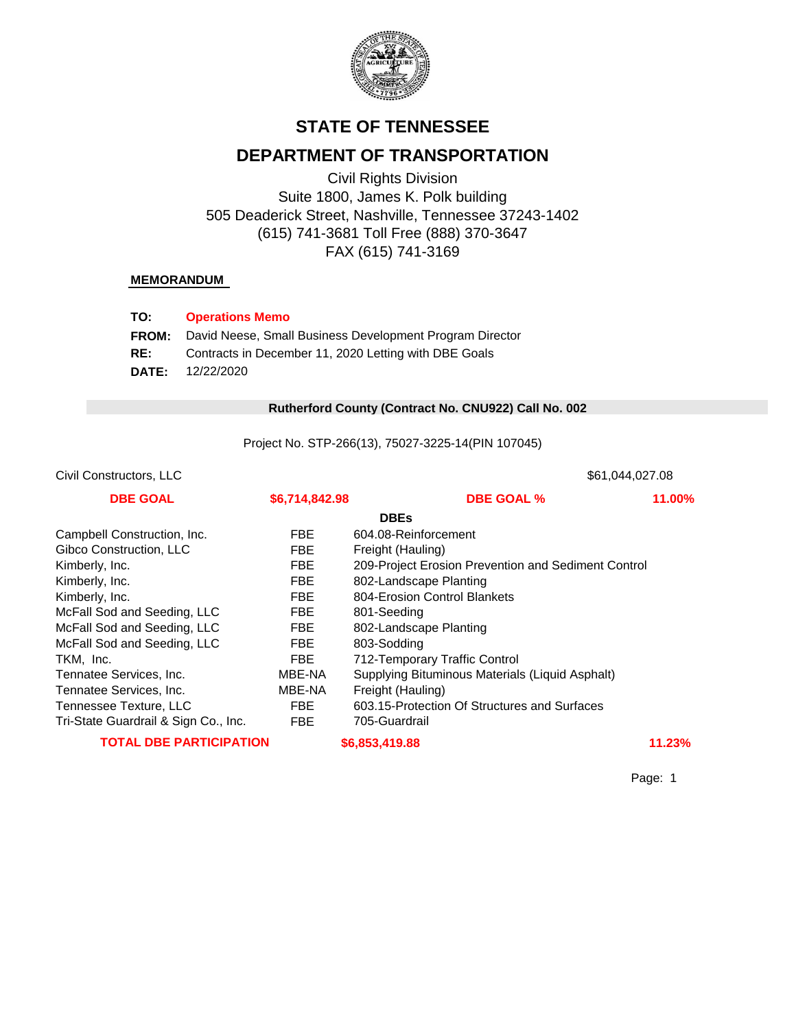

# **STATE OF TENNESSEE**

# **DEPARTMENT OF TRANSPORTATION**

Civil Rights Division Suite 1800, James K. Polk building 505 Deaderick Street, Nashville, Tennessee 37243-1402 (615) 741-3681 Toll Free (888) 370-3647 FAX (615) 741-3169

#### **MEMORANDUM**

| TO:          | <b>Operations Memo</b>                                   |
|--------------|----------------------------------------------------------|
| <b>FROM:</b> | David Neese, Small Business Development Program Director |
| RE:          | Contracts in December 11, 2020 Letting with DBE Goals    |
|              | <b>DATE:</b> $12/22/2020$                                |

#### 0 **Rutherford County (Contract No. CNU922) Call No. 002**

Project No. STP-266(13), 75027-3225-14(PIN 107045)

| Civil Constructors, LLC              |                | \$61,044,027.08                                     |        |  |
|--------------------------------------|----------------|-----------------------------------------------------|--------|--|
| <b>DBE GOAL</b>                      | \$6,714,842.98 | <b>DBE GOAL %</b>                                   | 11.00% |  |
|                                      |                | <b>DBEs</b>                                         |        |  |
| Campbell Construction, Inc.          | <b>FBE</b>     | 604.08-Reinforcement                                |        |  |
| Gibco Construction, LLC              | <b>FBE</b>     | Freight (Hauling)                                   |        |  |
| Kimberly, Inc.                       | <b>FBE</b>     | 209-Project Erosion Prevention and Sediment Control |        |  |
| Kimberly, Inc.                       | <b>FBE</b>     | 802-Landscape Planting                              |        |  |
| Kimberly, Inc.                       | <b>FBE</b>     | 804-Erosion Control Blankets                        |        |  |
| McFall Sod and Seeding, LLC          | <b>FBE</b>     | 801-Seeding                                         |        |  |
| McFall Sod and Seeding, LLC          | FBE            | 802-Landscape Planting                              |        |  |
| McFall Sod and Seeding, LLC          | FBE            | 803-Sodding                                         |        |  |
| TKM, Inc.                            | FBE            | 712-Temporary Traffic Control                       |        |  |
| Tennatee Services, Inc.              | MBE-NA         | Supplying Bituminous Materials (Liquid Asphalt)     |        |  |
| Tennatee Services, Inc.              | MBE-NA         | Freight (Hauling)                                   |        |  |
| Tennessee Texture, LLC               | FBE            | 603.15-Protection Of Structures and Surfaces        |        |  |
| Tri-State Guardrail & Sign Co., Inc. | FBE            | 705-Guardrail                                       |        |  |
| <b>TOTAL DBE PARTICIPATION</b>       |                | \$6,853,419.88                                      | 11.23% |  |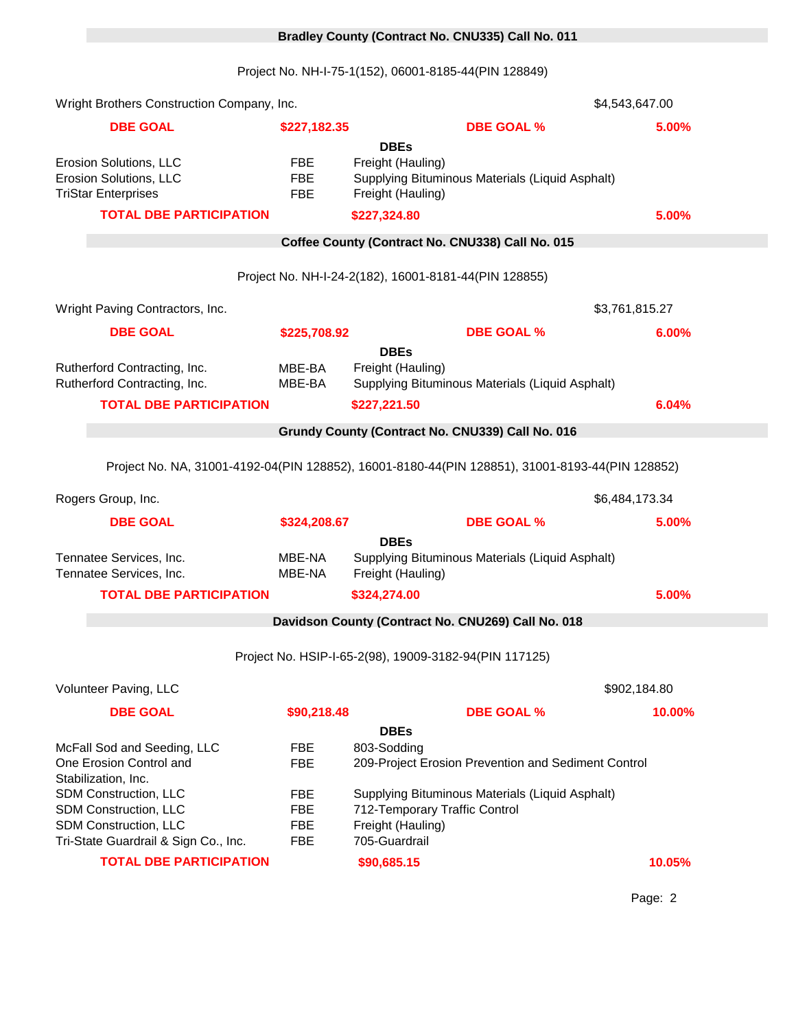# 0 **Bradley County (Contract No. CNU335) Call No. 011**

Project No. NH-I-75-1(152), 06001-8185-44(PIN 128849)

| Wright Brothers Construction Company, Inc. |                                                                                                 |                          | \$4,543,647.00                                                       |                |        |
|--------------------------------------------|-------------------------------------------------------------------------------------------------|--------------------------|----------------------------------------------------------------------|----------------|--------|
|                                            | <b>DBE GOAL</b>                                                                                 | \$227,182.35             | <b>DBE GOAL %</b>                                                    |                | 5.00%  |
|                                            |                                                                                                 |                          | <b>DBEs</b>                                                          |                |        |
|                                            | Erosion Solutions, LLC                                                                          | <b>FBE</b>               | Freight (Hauling)                                                    |                |        |
|                                            | Erosion Solutions, LLC<br><b>TriStar Enterprises</b>                                            | <b>FBE</b><br><b>FBE</b> | Supplying Bituminous Materials (Liquid Asphalt)<br>Freight (Hauling) |                |        |
|                                            | <b>TOTAL DBE PARTICIPATION</b>                                                                  |                          | \$227,324.80                                                         |                | 5.00%  |
|                                            |                                                                                                 |                          |                                                                      |                |        |
|                                            |                                                                                                 |                          | Coffee County (Contract No. CNU338) Call No. 015                     |                |        |
|                                            |                                                                                                 |                          | Project No. NH-I-24-2(182), 16001-8181-44(PIN 128855)                |                |        |
|                                            | Wright Paving Contractors, Inc.                                                                 |                          |                                                                      | \$3,761,815.27 |        |
|                                            | <b>DBE GOAL</b>                                                                                 | \$225,708.92             | <b>DBE GOAL %</b>                                                    |                | 6.00%  |
|                                            |                                                                                                 |                          | <b>DBEs</b>                                                          |                |        |
|                                            | Rutherford Contracting, Inc.<br>Rutherford Contracting, Inc.                                    | MBE-BA<br>MBE-BA         | Freight (Hauling)<br>Supplying Bituminous Materials (Liquid Asphalt) |                |        |
|                                            | <b>TOTAL DBE PARTICIPATION</b>                                                                  |                          |                                                                      |                | 6.04%  |
|                                            |                                                                                                 |                          | \$227,221.50                                                         |                |        |
|                                            |                                                                                                 |                          | Grundy County (Contract No. CNU339) Call No. 016                     |                |        |
|                                            | Project No. NA, 31001-4192-04(PIN 128852), 16001-8180-44(PIN 128851), 31001-8193-44(PIN 128852) |                          |                                                                      |                |        |
|                                            | Rogers Group, Inc.                                                                              |                          |                                                                      | \$6,484,173.34 |        |
|                                            | <b>DBE GOAL</b>                                                                                 | \$324,208.67             | <b>DBE GOAL %</b>                                                    |                | 5.00%  |
|                                            |                                                                                                 |                          | <b>DBEs</b>                                                          |                |        |
|                                            | Tennatee Services, Inc.<br>Tennatee Services, Inc.                                              | MBE-NA<br>MBE-NA         | Supplying Bituminous Materials (Liquid Asphalt)<br>Freight (Hauling) |                |        |
|                                            | <b>TOTAL DBE PARTICIPATION</b>                                                                  |                          | \$324,274.00                                                         |                | 5.00%  |
|                                            |                                                                                                 |                          |                                                                      |                |        |
|                                            |                                                                                                 |                          | Davidson County (Contract No. CNU269) Call No. 018                   |                |        |
|                                            |                                                                                                 |                          | Project No. HSIP-I-65-2(98), 19009-3182-94(PIN 117125)               |                |        |
|                                            | Volunteer Paving, LLC                                                                           |                          |                                                                      | \$902,184.80   |        |
|                                            | <b>DBE GOAL</b>                                                                                 | \$90,218.48              | <b>DBE GOAL %</b>                                                    |                | 10.00% |
|                                            |                                                                                                 |                          | <b>DBEs</b>                                                          |                |        |
|                                            | McFall Sod and Seeding, LLC                                                                     | FBE                      | 803-Sodding                                                          |                |        |
|                                            | One Erosion Control and<br>Stabilization, Inc.                                                  | <b>FBE</b>               | 209-Project Erosion Prevention and Sediment Control                  |                |        |
|                                            | SDM Construction, LLC                                                                           | <b>FBE</b>               | Supplying Bituminous Materials (Liquid Asphalt)                      |                |        |
|                                            | SDM Construction, LLC                                                                           | <b>FBE</b>               | 712-Temporary Traffic Control                                        |                |        |
|                                            | SDM Construction, LLC                                                                           | <b>FBE</b>               | Freight (Hauling)                                                    |                |        |
|                                            | Tri-State Guardrail & Sign Co., Inc.                                                            | <b>FBE</b>               | 705-Guardrail                                                        |                |        |
|                                            | <b>TOTAL DBE PARTICIPATION</b>                                                                  |                          | \$90,685.15                                                          |                | 10.05% |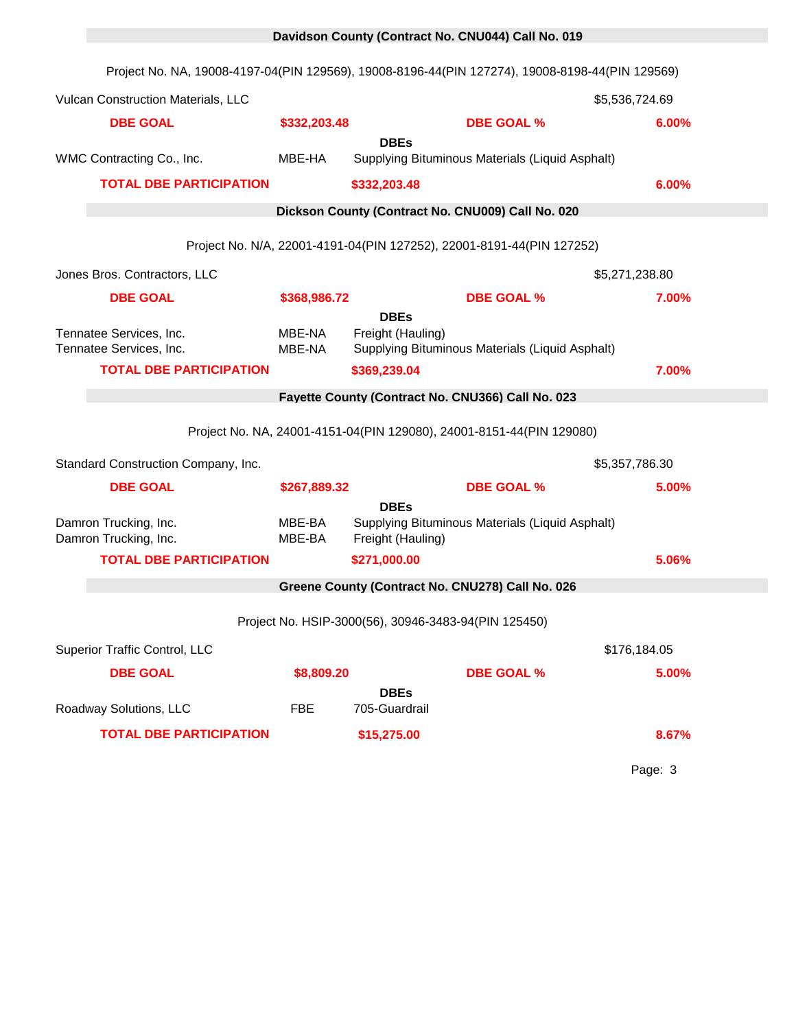|                                                    | Project No. NA, 19008-4197-04(PIN 129569), 19008-8196-44(PIN 127274), 19008-8198-44(PIN 129569) |                  |                                                                       |                                                 |                |  |
|----------------------------------------------------|-------------------------------------------------------------------------------------------------|------------------|-----------------------------------------------------------------------|-------------------------------------------------|----------------|--|
|                                                    | Vulcan Construction Materials, LLC                                                              |                  |                                                                       |                                                 | \$5,536,724.69 |  |
| <b>DBE GOAL</b>                                    |                                                                                                 | \$332,203.48     |                                                                       | <b>DBE GOAL %</b>                               | 6.00%          |  |
| WMC Contracting Co., Inc.                          |                                                                                                 | MBE-HA           | <b>DBEs</b>                                                           | Supplying Bituminous Materials (Liquid Asphalt) |                |  |
|                                                    | <b>TOTAL DBE PARTICIPATION</b>                                                                  |                  | \$332,203.48                                                          |                                                 | 6.00%          |  |
|                                                    |                                                                                                 |                  | Dickson County (Contract No. CNU009) Call No. 020                     |                                                 |                |  |
|                                                    |                                                                                                 |                  | Project No. N/A, 22001-4191-04(PIN 127252), 22001-8191-44(PIN 127252) |                                                 |                |  |
| Jones Bros. Contractors, LLC                       |                                                                                                 |                  |                                                                       |                                                 | \$5,271,238.80 |  |
| <b>DBE GOAL</b>                                    |                                                                                                 | \$368,986.72     |                                                                       | <b>DBE GOAL %</b>                               | 7.00%          |  |
| Tennatee Services, Inc.<br>Tennatee Services, Inc. |                                                                                                 | MBE-NA<br>MBE-NA | <b>DBEs</b><br>Freight (Hauling)                                      | Supplying Bituminous Materials (Liquid Asphalt) |                |  |
|                                                    | <b>TOTAL DBE PARTICIPATION</b>                                                                  |                  | \$369,239.04                                                          |                                                 | 7.00%          |  |
|                                                    |                                                                                                 |                  | Fayette County (Contract No. CNU366) Call No. 023                     |                                                 |                |  |
|                                                    | Project No. NA, 24001-4151-04(PIN 129080), 24001-8151-44(PIN 129080)                            |                  |                                                                       |                                                 |                |  |
|                                                    | Standard Construction Company, Inc.                                                             |                  |                                                                       |                                                 | \$5,357,786.30 |  |
| <b>DBE GOAL</b>                                    |                                                                                                 | \$267,889.32     |                                                                       | <b>DBE GOAL %</b>                               | 5.00%          |  |
| Damron Trucking, Inc.<br>Damron Trucking, Inc.     |                                                                                                 | MBE-BA<br>MBE-BA | <b>DBEs</b><br>Freight (Hauling)                                      | Supplying Bituminous Materials (Liquid Asphalt) |                |  |
|                                                    | <b>TOTAL DBE PARTICIPATION</b>                                                                  |                  | \$271,000.00                                                          |                                                 | 5.06%          |  |
|                                                    |                                                                                                 |                  | Greene County (Contract No. CNU278) Call No. 026                      |                                                 |                |  |
|                                                    | Project No. HSIP-3000(56), 30946-3483-94(PIN 125450)                                            |                  |                                                                       |                                                 |                |  |
| Superior Traffic Control, LLC                      |                                                                                                 |                  |                                                                       |                                                 | \$176,184.05   |  |
| <b>DBE GOAL</b>                                    |                                                                                                 | \$8,809.20       |                                                                       | <b>DBE GOAL %</b>                               | 5.00%          |  |
| Roadway Solutions, LLC                             |                                                                                                 | <b>FBE</b>       | <b>DBEs</b><br>705-Guardrail                                          |                                                 |                |  |
|                                                    | <b>TOTAL DBE PARTICIPATION</b>                                                                  |                  | \$15,275.00                                                           |                                                 | 8.67%          |  |

0 **Davidson County (Contract No. CNU044) Call No. 019**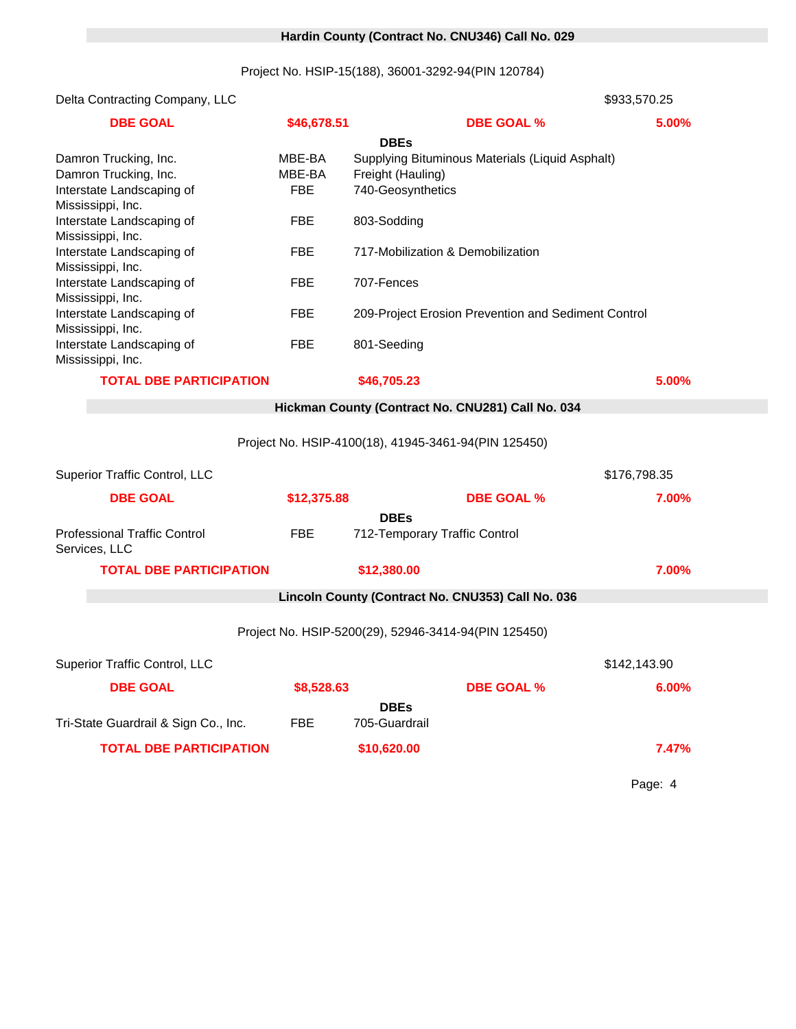### 0 **Hardin County (Contract No. CNU346) Call No. 029**

### Project No. HSIP-15(188), 36001-3292-94(PIN 120784)

Delta Contracting Company, LLC 6000 \$933,570.25

| <b>DBE GOAL</b>                                                             | \$46,678.51                    |                                                       | <b>DBE GOAL %</b>                                   | 5.00%        |
|-----------------------------------------------------------------------------|--------------------------------|-------------------------------------------------------|-----------------------------------------------------|--------------|
| Damron Trucking, Inc.<br>Damron Trucking, Inc.<br>Interstate Landscaping of | MBE-BA<br>MBE-BA<br><b>FBE</b> | <b>DBEs</b><br>Freight (Hauling)<br>740-Geosynthetics | Supplying Bituminous Materials (Liquid Asphalt)     |              |
| Mississippi, Inc.<br>Interstate Landscaping of<br>Mississippi, Inc.         | <b>FBE</b>                     | 803-Sodding                                           |                                                     |              |
| Interstate Landscaping of<br>Mississippi, Inc.                              | <b>FBE</b>                     | 717-Mobilization & Demobilization                     |                                                     |              |
| Interstate Landscaping of<br>Mississippi, Inc.                              | <b>FBE</b>                     | 707-Fences                                            |                                                     |              |
| Interstate Landscaping of<br>Mississippi, Inc.                              | <b>FBE</b>                     |                                                       | 209-Project Erosion Prevention and Sediment Control |              |
| Interstate Landscaping of<br>Mississippi, Inc.                              | <b>FBE</b>                     | 801-Seeding                                           |                                                     |              |
| <b>TOTAL DBE PARTICIPATION</b>                                              |                                | \$46,705.23                                           |                                                     | 5.00%        |
|                                                                             |                                | Hickman County (Contract No. CNU281) Call No. 034     |                                                     |              |
|                                                                             |                                | Project No. HSIP-4100(18), 41945-3461-94(PIN 125450)  |                                                     |              |
| <b>Superior Traffic Control, LLC</b>                                        |                                |                                                       |                                                     | \$176,798.35 |
| <b>DBE GOAL</b>                                                             | \$12,375.88                    |                                                       | <b>DBE GOAL %</b>                                   | 7.00%        |
| <b>Professional Traffic Control</b><br>Services, LLC                        | <b>FBE</b>                     | <b>DBEs</b><br>712-Temporary Traffic Control          |                                                     |              |
| <b>TOTAL DBE PARTICIPATION</b>                                              |                                | \$12,380.00                                           |                                                     | 7.00%        |
|                                                                             |                                | Lincoln County (Contract No. CNU353) Call No. 036     |                                                     |              |
|                                                                             |                                | Project No. HSIP-5200(29), 52946-3414-94(PIN 125450)  |                                                     |              |
| Superior Traffic Control, LLC<br>\$142,143.90                               |                                |                                                       |                                                     |              |
| <b>DBE GOAL</b>                                                             | \$8,528.63                     |                                                       | <b>DBE GOAL %</b>                                   | 6.00%        |
| Tri-State Guardrail & Sign Co., Inc.                                        | <b>FBE</b>                     | <b>DBEs</b><br>705-Guardrail                          |                                                     |              |
| <b>TOTAL DBE PARTICIPATION</b>                                              |                                | \$10,620.00                                           |                                                     | 7.47%        |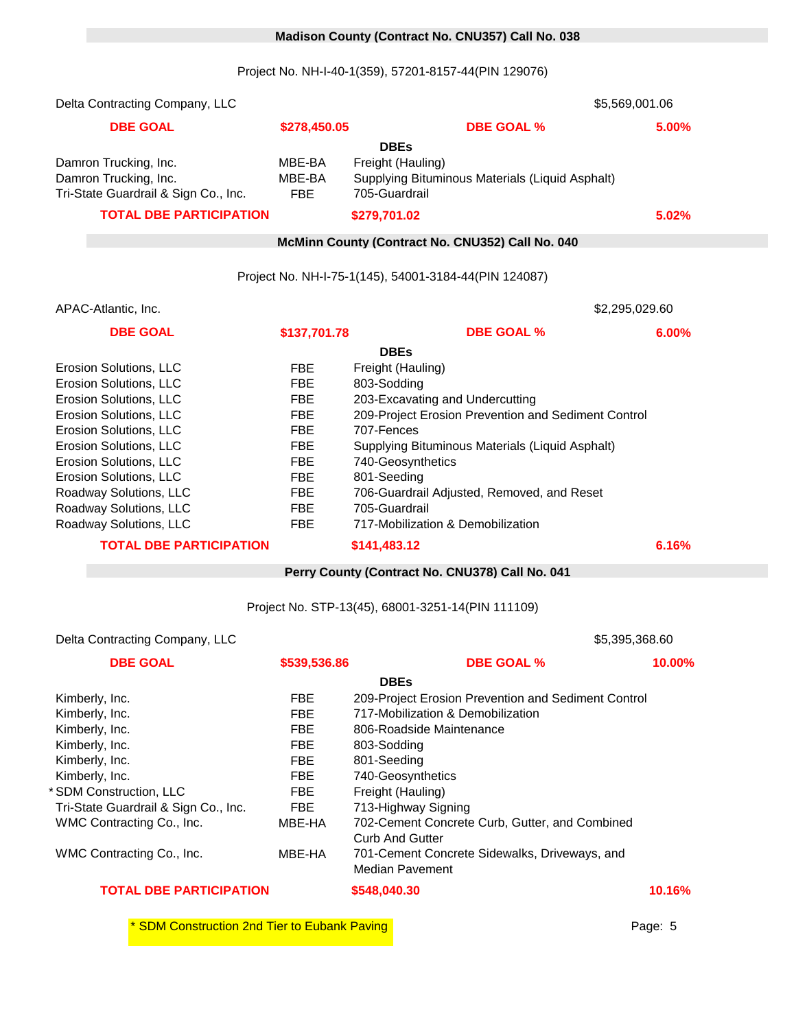#### 0 **Madison County (Contract No. CNU357) Call No. 038**

Project No. NH-I-40-1(359), 57201-8157-44(PIN 129076)

| Delta Contracting Company, LLC<br>\$5,569,001.06 |                  |                                                                                     |       |
|--------------------------------------------------|------------------|-------------------------------------------------------------------------------------|-------|
| <b>DBE GOAL</b>                                  | \$278,450.05     | <b>DBE GOAL %</b>                                                                   | 5.00% |
| Damron Trucking, Inc.<br>Damron Trucking, Inc.   | MBE-BA<br>MBE-BA | <b>DBEs</b><br>Freight (Hauling)<br>Supplying Bituminous Materials (Liquid Asphalt) |       |
| Tri-State Guardrail & Sign Co., Inc.             | <b>FBE</b>       | 705-Guardrail                                                                       |       |
| <b>TOTAL DBE PARTICIPATION</b>                   |                  | \$279,701.02                                                                        | 5.02% |
|                                                  |                  | McMinn County (Contract No. CNU352) Call No. 040                                    |       |
|                                                  |                  |                                                                                     |       |
|                                                  |                  | Project No. NH-I-75-1(145), 54001-3184-44(PIN 124087)                               |       |
| APAC-Atlantic, Inc.                              |                  | \$2,295,029.60                                                                      |       |
| <b>DBE GOAL</b>                                  | \$137,701.78     | <b>DBE GOAL %</b>                                                                   | 6.00% |
|                                                  |                  | <b>DBEs</b>                                                                         |       |
| Erosion Solutions, LLC                           | <b>FBE</b>       | Freight (Hauling)                                                                   |       |
| Erosion Solutions, LLC                           | <b>FBE</b>       | 803-Sodding                                                                         |       |
| Erosion Solutions, LLC                           | <b>FBE</b>       | 203-Excavating and Undercutting                                                     |       |
| Erosion Solutions, LLC                           | <b>FBE</b>       | 209-Project Erosion Prevention and Sediment Control                                 |       |
| Erosion Solutions, LLC                           | <b>FBE</b>       | 707-Fences                                                                          |       |
| Erosion Solutions, LLC                           | <b>FBE</b>       | Supplying Bituminous Materials (Liquid Asphalt)                                     |       |
| Erosion Solutions, LLC                           | <b>FBE</b>       | 740-Geosynthetics                                                                   |       |
| Erosion Solutions, LLC                           | <b>FBE</b>       | 801-Seeding                                                                         |       |
| Roadway Solutions, LLC                           | <b>FBE</b>       | 706-Guardrail Adjusted, Removed, and Reset                                          |       |
| Roadway Solutions, LLC                           | <b>FBE</b>       | 705-Guardrail                                                                       |       |
| Roadway Solutions, LLC                           | <b>FBE</b>       | 717-Mobilization & Demobilization                                                   |       |
| <b>TOTAL DBE PARTICIPATION</b>                   |                  | \$141,483.12                                                                        | 6.16% |
|                                                  |                  | Perry County (Contract No. CNU378) Call No. 041                                     |       |
|                                                  |                  |                                                                                     |       |
|                                                  |                  | Project No. STP-13(45), 68001-3251-14(PIN 111109)                                   |       |

#### Delta Contracting Company, LLC 18032 6032 \$5,395,368.60

| <b>DBE GOAL</b>                      | \$539,536.86 | <b>DBE GOAL %</b>                                   | 10.00% |
|--------------------------------------|--------------|-----------------------------------------------------|--------|
|                                      |              | <b>DBEs</b>                                         |        |
| Kimberly, Inc.                       | <b>FBE</b>   | 209-Project Erosion Prevention and Sediment Control |        |
| Kimberly, Inc.                       | <b>FBE</b>   | 717-Mobilization & Demobilization                   |        |
| Kimberly, Inc.                       | FBE          | 806-Roadside Maintenance                            |        |
| Kimberly, Inc.                       | <b>FBE</b>   | 803-Sodding                                         |        |
| Kimberly, Inc.                       | <b>FBE</b>   | 801-Seeding                                         |        |
| Kimberly, Inc.                       | <b>FBE</b>   | 740-Geosynthetics                                   |        |
| * SDM Construction, LLC              | FBE          | Freight (Hauling)                                   |        |
| Tri-State Guardrail & Sign Co., Inc. | FBE.         | 713-Highway Signing                                 |        |
| WMC Contracting Co., Inc.            | MBE-HA       | 702-Cement Concrete Curb, Gutter, and Combined      |        |
|                                      |              | <b>Curb And Gutter</b>                              |        |
| WMC Contracting Co., Inc.            | MBE-HA       | 701-Cement Concrete Sidewalks, Driveways, and       |        |
|                                      |              | <b>Median Pavement</b>                              |        |
| <b>TOTAL DBE PARTICIPATION</b>       |              | \$548,040.30                                        | 10.16% |

\* SDM Construction 2nd Tier to Eubank Paving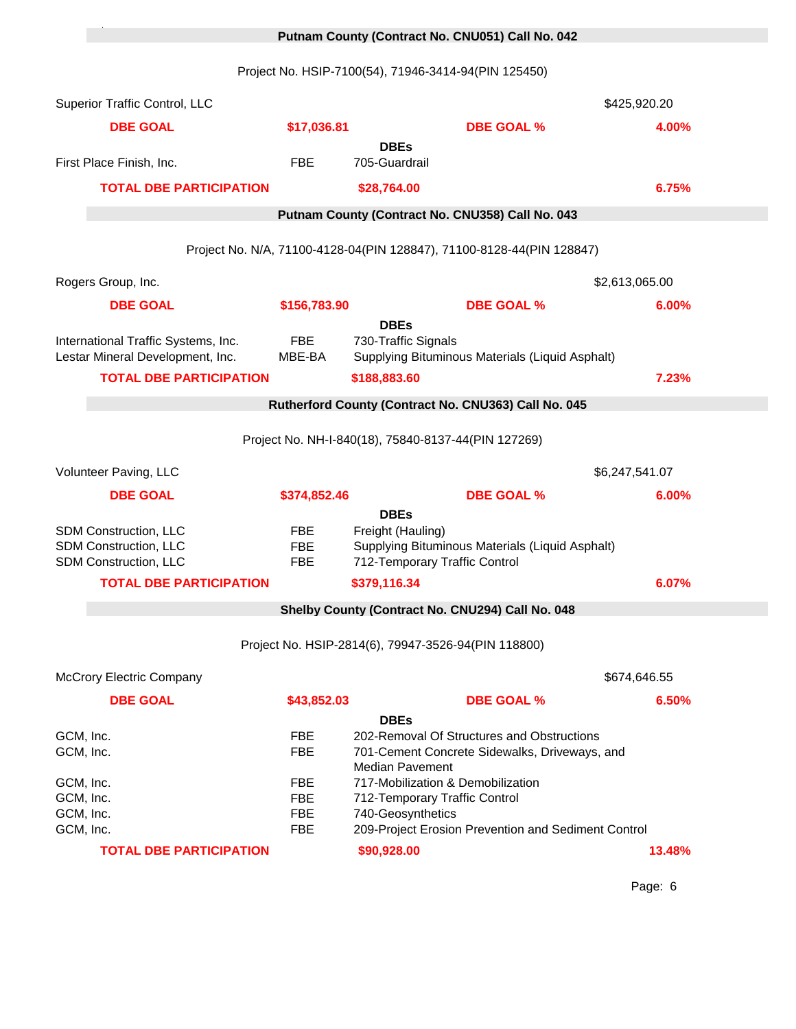# 0 **Putnam County (Contract No. CNU051) Call No. 042**

Project No. HSIP-7100(54), 71946-3414-94(PIN 125450)

<sup>1</sup> Putnam \*

|                                     | Superior Traffic Control, LLC                                           |                                        |                                                                            |                                                                                             | \$425,920.20   |
|-------------------------------------|-------------------------------------------------------------------------|----------------------------------------|----------------------------------------------------------------------------|---------------------------------------------------------------------------------------------|----------------|
|                                     | <b>DBE GOAL</b>                                                         | \$17,036.81                            |                                                                            | <b>DBE GOAL %</b>                                                                           | 4.00%          |
|                                     | First Place Finish, Inc.                                                | <b>FBE</b>                             | <b>DBEs</b><br>705-Guardrail                                               |                                                                                             |                |
|                                     | <b>TOTAL DBE PARTICIPATION</b>                                          |                                        | \$28,764.00                                                                |                                                                                             | 6.75%          |
|                                     |                                                                         |                                        |                                                                            | Putnam County (Contract No. CNU358) Call No. 043                                            |                |
|                                     |                                                                         |                                        |                                                                            | Project No. N/A, 71100-4128-04(PIN 128847), 71100-8128-44(PIN 128847)                       |                |
|                                     | Rogers Group, Inc.                                                      |                                        |                                                                            |                                                                                             | \$2,613,065.00 |
|                                     | <b>DBE GOAL</b>                                                         | \$156,783.90                           |                                                                            | <b>DBE GOAL %</b>                                                                           | 6.00%          |
|                                     | International Traffic Systems, Inc.<br>Lestar Mineral Development, Inc. | <b>FBE</b><br>MBE-BA                   | <b>DBEs</b><br>730-Traffic Signals                                         | Supplying Bituminous Materials (Liquid Asphalt)                                             |                |
|                                     | <b>TOTAL DBE PARTICIPATION</b>                                          |                                        | \$188,883.60                                                               |                                                                                             | 7.23%          |
|                                     |                                                                         |                                        |                                                                            | Rutherford County (Contract No. CNU363) Call No. 045                                        |                |
|                                     |                                                                         |                                        | Project No. NH-I-840(18), 75840-8137-44(PIN 127269)                        |                                                                                             |                |
|                                     | Volunteer Paving, LLC                                                   |                                        |                                                                            |                                                                                             | \$6,247,541.07 |
|                                     | <b>DBE GOAL</b>                                                         | \$374,852.46                           | <b>DBEs</b>                                                                | <b>DBE GOAL %</b>                                                                           | 6.00%          |
|                                     | SDM Construction, LLC<br>SDM Construction, LLC<br>SDM Construction, LLC | <b>FBE</b><br><b>FBE</b><br><b>FBE</b> | Freight (Hauling)<br>712-Temporary Traffic Control                         | Supplying Bituminous Materials (Liquid Asphalt)                                             |                |
|                                     | <b>TOTAL DBE PARTICIPATION</b>                                          |                                        | \$379,116.34                                                               |                                                                                             | 6.07%          |
|                                     |                                                                         |                                        |                                                                            | Shelby County (Contract No. CNU294) Call No. 048                                            |                |
|                                     |                                                                         |                                        | Project No. HSIP-2814(6), 79947-3526-94(PIN 118800)                        |                                                                                             |                |
|                                     | <b>McCrory Electric Company</b>                                         |                                        |                                                                            |                                                                                             | \$674,646.55   |
|                                     | <b>DBE GOAL</b>                                                         | \$43,852.03                            |                                                                            | <b>DBE GOAL %</b>                                                                           | 6.50%          |
| GCM, Inc.<br>GCM, Inc.<br>GCM, Inc. |                                                                         | <b>FBE</b><br><b>FBE</b><br><b>FBE</b> | <b>DBEs</b><br><b>Median Pavement</b><br>717-Mobilization & Demobilization | 202-Removal Of Structures and Obstructions<br>701-Cement Concrete Sidewalks, Driveways, and |                |
| GCM, Inc.<br>GCM, Inc.              |                                                                         | <b>FBE</b><br><b>FBE</b>               | 712-Temporary Traffic Control<br>740-Geosynthetics                         |                                                                                             |                |
| GCM, Inc.                           |                                                                         | <b>FBE</b>                             |                                                                            | 209-Project Erosion Prevention and Sediment Control                                         |                |
|                                     | <b>TOTAL DBE PARTICIPATION</b>                                          |                                        | \$90,928.00                                                                |                                                                                             | 13.48%         |